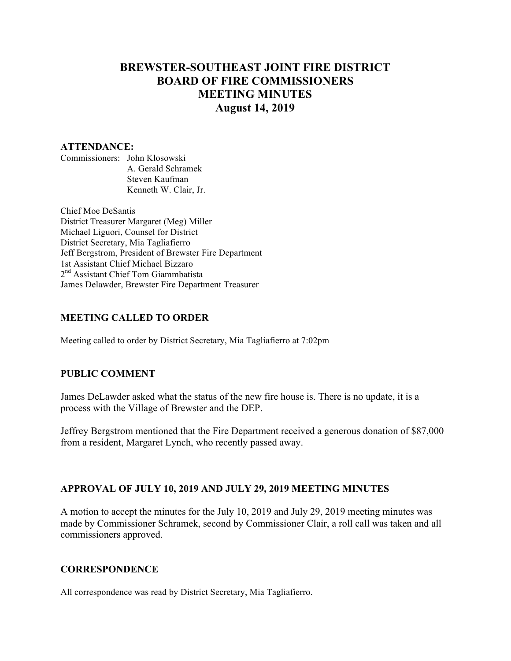# **BREWSTER-SOUTHEAST JOINT FIRE DISTRICT BOARD OF FIRE COMMISSIONERS MEETING MINUTES August 14, 2019**

#### **ATTENDANCE:**

Commissioners: John Klosowski A. Gerald Schramek Steven Kaufman Kenneth W. Clair, Jr.

Chief Moe DeSantis District Treasurer Margaret (Meg) Miller Michael Liguori, Counsel for District District Secretary, Mia Tagliafierro Jeff Bergstrom, President of Brewster Fire Department 1st Assistant Chief Michael Bizzaro 2<sup>nd</sup> Assistant Chief Tom Giammbatista James Delawder, Brewster Fire Department Treasurer

### **MEETING CALLED TO ORDER**

Meeting called to order by District Secretary, Mia Tagliafierro at 7:02pm

## **PUBLIC COMMENT**

James DeLawder asked what the status of the new fire house is. There is no update, it is a process with the Village of Brewster and the DEP.

Jeffrey Bergstrom mentioned that the Fire Department received a generous donation of \$87,000 from a resident, Margaret Lynch, who recently passed away.

## **APPROVAL OF JULY 10, 2019 AND JULY 29, 2019 MEETING MINUTES**

A motion to accept the minutes for the July 10, 2019 and July 29, 2019 meeting minutes was made by Commissioner Schramek, second by Commissioner Clair, a roll call was taken and all commissioners approved.

### **CORRESPONDENCE**

All correspondence was read by District Secretary, Mia Tagliafierro.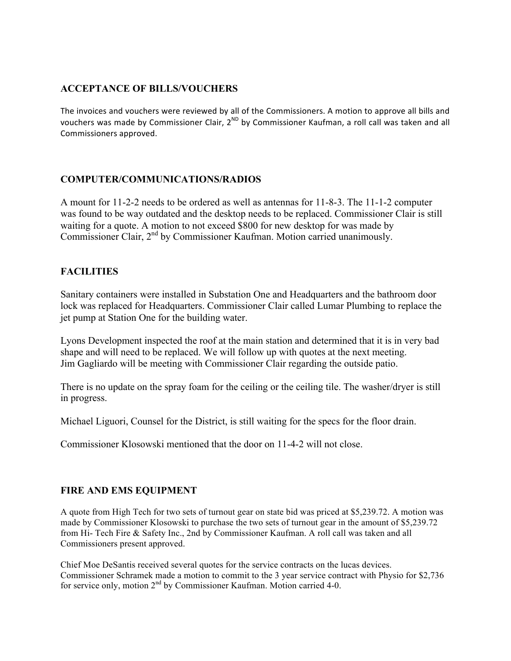## **ACCEPTANCE OF BILLS/VOUCHERS**

The invoices and vouchers were reviewed by all of the Commissioners. A motion to approve all bills and vouchers was made by Commissioner Clair,  $2^{ND}$  by Commissioner Kaufman, a roll call was taken and all Commissioners approved.

## **COMPUTER/COMMUNICATIONS/RADIOS**

A mount for 11-2-2 needs to be ordered as well as antennas for 11-8-3. The 11-1-2 computer was found to be way outdated and the desktop needs to be replaced. Commissioner Clair is still waiting for a quote. A motion to not exceed \$800 for new desktop for was made by Commissioner Clair, 2<sup>nd</sup> by Commissioner Kaufman. Motion carried unanimously.

## **FACILITIES**

Sanitary containers were installed in Substation One and Headquarters and the bathroom door lock was replaced for Headquarters. Commissioner Clair called Lumar Plumbing to replace the jet pump at Station One for the building water.

Lyons Development inspected the roof at the main station and determined that it is in very bad shape and will need to be replaced. We will follow up with quotes at the next meeting. Jim Gagliardo will be meeting with Commissioner Clair regarding the outside patio.

There is no update on the spray foam for the ceiling or the ceiling tile. The washer/dryer is still in progress.

Michael Liguori, Counsel for the District, is still waiting for the specs for the floor drain.

Commissioner Klosowski mentioned that the door on 11-4-2 will not close.

## **FIRE AND EMS EQUIPMENT**

A quote from High Tech for two sets of turnout gear on state bid was priced at \$5,239.72. A motion was made by Commissioner Klosowski to purchase the two sets of turnout gear in the amount of \$5,239.72 from Hi- Tech Fire & Safety Inc., 2nd by Commissioner Kaufman. A roll call was taken and all Commissioners present approved.

Chief Moe DeSantis received several quotes for the service contracts on the lucas devices. Commissioner Schramek made a motion to commit to the 3 year service contract with Physio for \$2,736 for service only, motion  $2<sup>nd</sup>$  by Commissioner Kaufman. Motion carried 4-0.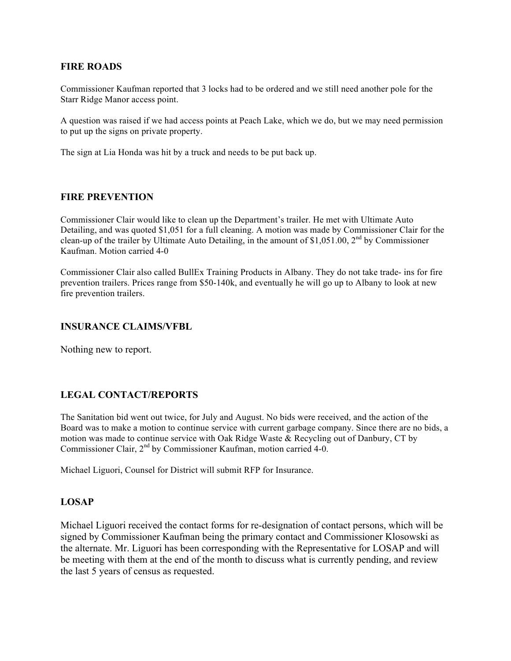### **FIRE ROADS**

Commissioner Kaufman reported that 3 locks had to be ordered and we still need another pole for the Starr Ridge Manor access point.

A question was raised if we had access points at Peach Lake, which we do, but we may need permission to put up the signs on private property.

The sign at Lia Honda was hit by a truck and needs to be put back up.

#### **FIRE PREVENTION**

Commissioner Clair would like to clean up the Department's trailer. He met with Ultimate Auto Detailing, and was quoted \$1,051 for a full cleaning. A motion was made by Commissioner Clair for the clean-up of the trailer by Ultimate Auto Detailing, in the amount of \$1,051.00, 2<sup>nd</sup> by Commissioner Kaufman. Motion carried 4-0

Commissioner Clair also called BullEx Training Products in Albany. They do not take trade- ins for fire prevention trailers. Prices range from \$50-140k, and eventually he will go up to Albany to look at new fire prevention trailers.

#### **INSURANCE CLAIMS/VFBL**

Nothing new to report.

### **LEGAL CONTACT/REPORTS**

The Sanitation bid went out twice, for July and August. No bids were received, and the action of the Board was to make a motion to continue service with current garbage company. Since there are no bids, a motion was made to continue service with Oak Ridge Waste & Recycling out of Danbury, CT by Commissioner Clair, 2<sup>nd</sup> by Commissioner Kaufman, motion carried 4-0.

Michael Liguori, Counsel for District will submit RFP for Insurance.

#### **LOSAP**

Michael Liguori received the contact forms for re-designation of contact persons, which will be signed by Commissioner Kaufman being the primary contact and Commissioner Klosowski as the alternate. Mr. Liguori has been corresponding with the Representative for LOSAP and will be meeting with them at the end of the month to discuss what is currently pending, and review the last 5 years of census as requested.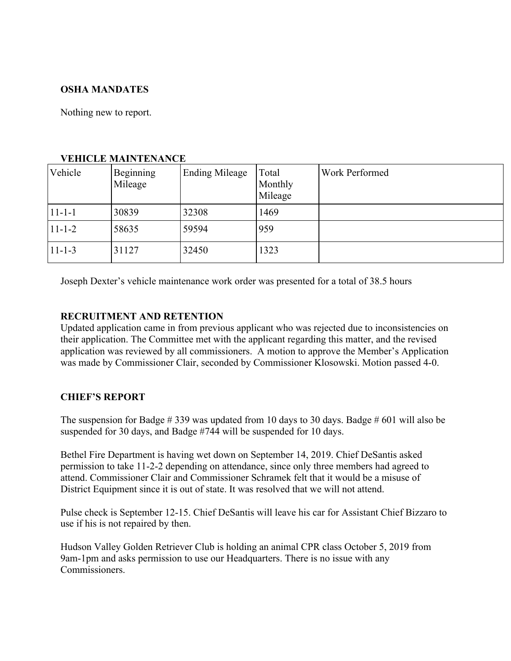## **OSHA MANDATES**

Nothing new to report.

| Vehicle      | Beginning<br>Mileage | <b>Ending Mileage</b> | Total<br>Monthly<br>Mileage | Work Performed |
|--------------|----------------------|-----------------------|-----------------------------|----------------|
| $11 - 1 - 1$ | 30839                | 32308                 | 1469                        |                |
| $11 - 1 - 2$ | 58635                | 59594                 | 959                         |                |
| $11 - 1 - 3$ | 31127                | 32450                 | 1323                        |                |

### **VEHICLE MAINTENANCE**

Joseph Dexter's vehicle maintenance work order was presented for a total of 38.5 hours

## **RECRUITMENT AND RETENTION**

Updated application came in from previous applicant who was rejected due to inconsistencies on their application. The Committee met with the applicant regarding this matter, and the revised application was reviewed by all commissioners. A motion to approve the Member's Application was made by Commissioner Clair, seconded by Commissioner Klosowski. Motion passed 4-0.

## **CHIEF'S REPORT**

The suspension for Badge # 339 was updated from 10 days to 30 days. Badge # 601 will also be suspended for 30 days, and Badge #744 will be suspended for 10 days.

Bethel Fire Department is having wet down on September 14, 2019. Chief DeSantis asked permission to take 11-2-2 depending on attendance, since only three members had agreed to attend. Commissioner Clair and Commissioner Schramek felt that it would be a misuse of District Equipment since it is out of state. It was resolved that we will not attend.

Pulse check is September 12-15. Chief DeSantis will leave his car for Assistant Chief Bizzaro to use if his is not repaired by then.

Hudson Valley Golden Retriever Club is holding an animal CPR class October 5, 2019 from 9am-1pm and asks permission to use our Headquarters. There is no issue with any Commissioners.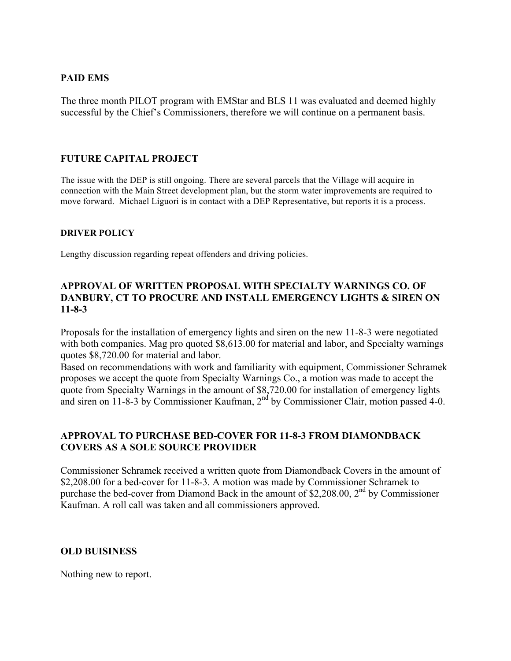## **PAID EMS**

The three month PILOT program with EMStar and BLS 11 was evaluated and deemed highly successful by the Chief's Commissioners, therefore we will continue on a permanent basis.

### **FUTURE CAPITAL PROJECT**

The issue with the DEP is still ongoing. There are several parcels that the Village will acquire in connection with the Main Street development plan, but the storm water improvements are required to move forward. Michael Liguori is in contact with a DEP Representative, but reports it is a process.

#### **DRIVER POLICY**

Lengthy discussion regarding repeat offenders and driving policies.

## **APPROVAL OF WRITTEN PROPOSAL WITH SPECIALTY WARNINGS CO. OF DANBURY, CT TO PROCURE AND INSTALL EMERGENCY LIGHTS & SIREN ON 11-8-3**

Proposals for the installation of emergency lights and siren on the new 11-8-3 were negotiated with both companies. Mag pro quoted \$8,613.00 for material and labor, and Specialty warnings quotes \$8,720.00 for material and labor.

Based on recommendations with work and familiarity with equipment, Commissioner Schramek proposes we accept the quote from Specialty Warnings Co., a motion was made to accept the quote from Specialty Warnings in the amount of \$8,720.00 for installation of emergency lights and siren on  $11-8-3$  by Commissioner Kaufman,  $2<sup>nd</sup>$  by Commissioner Clair, motion passed 4-0.

### **APPROVAL TO PURCHASE BED-COVER FOR 11-8-3 FROM DIAMONDBACK COVERS AS A SOLE SOURCE PROVIDER**

Commissioner Schramek received a written quote from Diamondback Covers in the amount of \$2,208.00 for a bed-cover for 11-8-3. A motion was made by Commissioner Schramek to purchase the bed-cover from Diamond Back in the amount of \$2,208.00,  $2<sup>nd</sup>$  by Commissioner Kaufman. A roll call was taken and all commissioners approved.

### **OLD BUISINESS**

Nothing new to report.